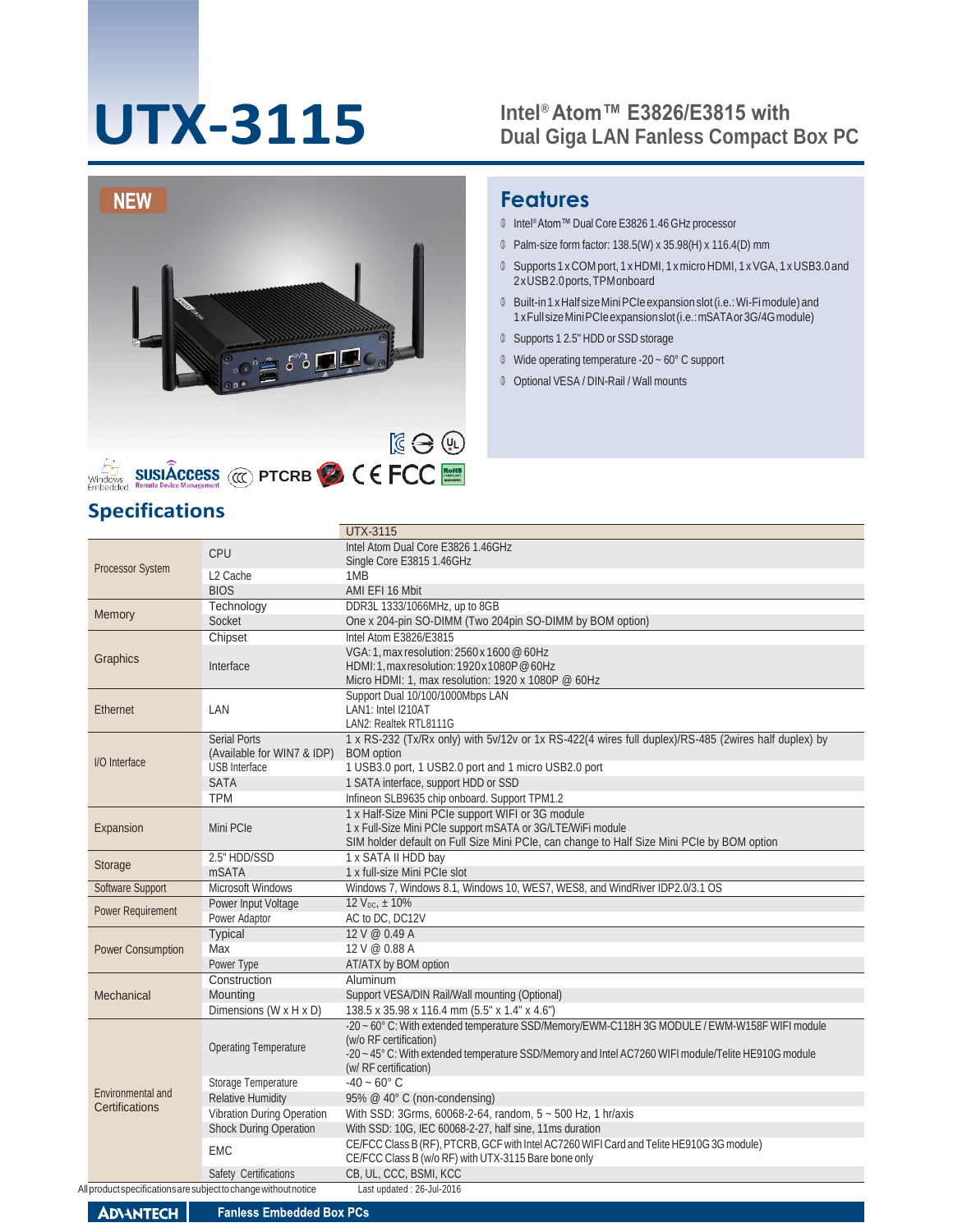# **UTX-3115**

#### **Intel® Atom™ E3826/E3815 with Dual Giga LAN Fanless Compact Box PC**



## **Features**

- Intel® Atom™ Dual Core E3826 1.46 GHz processor
- Palm-size form factor: 138.5(W) x 35.98(H) x 116.4(D) mm
- Supports 1 xCOM port, 1 xHDMI, 1 x micro HDMI, 1 xVGA, 1 xUSB3.0 and 2xUSB2.0ports,TPMonboard
- Built-in1xHalf sizeMiniPCIeexpansionslot(i.e.:Wi-Fimodule) and 1xFullsizeMiniPCIeexpansionslot(i.e.:mSATAor3G/4Gmodule)
- Supports 1 2.5" HDD or SSD storage
- Wide operating temperature -20 ~ 60°C support
- Optional VESA / DIN-Rail / Wall mounts

### **Specifications**

|                                     |                                                                 | <b>UTX-3115</b>                                                                                      |
|-------------------------------------|-----------------------------------------------------------------|------------------------------------------------------------------------------------------------------|
| <b>Processor System</b>             | CPU                                                             | Intel Atom Dual Core E3826 1.46GHz<br>Single Core E3815 1.46GHz                                      |
|                                     | L <sub>2</sub> Cache                                            | 1MB                                                                                                  |
|                                     | <b>BIOS</b>                                                     | AMI EFI 16 Mbit                                                                                      |
|                                     | Technology                                                      | DDR3L 1333/1066MHz, up to 8GB                                                                        |
| Memory                              | Socket                                                          | One x 204-pin SO-DIMM (Two 204pin SO-DIMM by BOM option)                                             |
|                                     | Chipset                                                         | Intel Atom E3826/E3815                                                                               |
|                                     |                                                                 | VGA: 1, max resolution: 2560 x 1600 @ 60Hz                                                           |
| Graphics                            | Interface                                                       | HDMI: 1. max resolution: 1920x 1080P @ 60Hz                                                          |
|                                     |                                                                 | Micro HDMI: 1, max resolution: 1920 x 1080P @ 60Hz                                                   |
|                                     |                                                                 | Support Dual 10/100/1000Mbps LAN                                                                     |
| Ethernet                            | LAN                                                             | LAN1: Intel I210AT                                                                                   |
|                                     |                                                                 | LAN2: Realtek RTL8111G                                                                               |
|                                     | <b>Serial Ports</b>                                             | 1 x RS-232 (Tx/Rx only) with 5v/12v or 1x RS-422(4 wires full duplex)/RS-485 (2wires half duplex) by |
| I/O Interface                       | (Available for WIN7 & IDP)<br><b>USB</b> Interface              | <b>BOM</b> option<br>1 USB3.0 port, 1 USB2.0 port and 1 micro USB2.0 port                            |
|                                     | <b>SATA</b>                                                     | 1 SATA interface, support HDD or SSD                                                                 |
|                                     | <b>TPM</b>                                                      |                                                                                                      |
|                                     |                                                                 | Infineon SLB9635 chip onboard. Support TPM1.2<br>1 x Half-Size Mini PCIe support WIFI or 3G module   |
|                                     | Mini PCIe                                                       | 1 x Full-Size Mini PCIe support mSATA or 3G/LTE/WiFi module                                          |
| Expansion                           |                                                                 | SIM holder default on Full Size Mini PCIe, can change to Half Size Mini PCIe by BOM option           |
|                                     | 2.5" HDD/SSD                                                    | 1 x SATA II HDD bay                                                                                  |
| Storage                             | <b>mSATA</b>                                                    | 1 x full-size Mini PCIe slot                                                                         |
| Software Support                    | <b>Microsoft Windows</b>                                        | Windows 7, Windows 8.1, Windows 10, WES7, WES8, and WindRiver IDP2.0/3.1 OS                          |
|                                     | Power Input Voltage                                             | 12 $V_{DC}$ , $\pm$ 10%                                                                              |
| <b>Power Requirement</b>            | Power Adaptor                                                   | AC to DC, DC12V                                                                                      |
|                                     | <b>Typical</b>                                                  | 12 V @ 0.49 A                                                                                        |
| <b>Power Consumption</b>            | Max                                                             | 12 V @ 0.88 A                                                                                        |
|                                     | Power Type                                                      | AT/ATX by BOM option                                                                                 |
|                                     | Construction                                                    | Aluminum                                                                                             |
| Mechanical                          | Mounting                                                        | Support VESA/DIN Rail/Wall mounting (Optional)                                                       |
|                                     | Dimensions (W x H x D)                                          | 138.5 x 35.98 x 116.4 mm (5.5" x 1.4" x 4.6")                                                        |
|                                     | <b>Operating Temperature</b>                                    | -20 ~ 60° C: With extended temperature SSD/Memory/EWM-C118H 3G MODULE / EWM-W158F WIFI module        |
| Environmental and<br>Certifications |                                                                 | (w/o RF certification)                                                                               |
|                                     |                                                                 | -20 ~ 45° C: With extended temperature SSD/Memory and Intel AC7260 WIFI module/Telite HE910G module  |
|                                     |                                                                 | (w/ RF certification)                                                                                |
|                                     | Storage Temperature                                             | $-40 - 60^{\circ}$ C                                                                                 |
|                                     | <b>Relative Humidity</b>                                        | 95% @ 40° C (non-condensing)                                                                         |
|                                     | Vibration During Operation                                      | With SSD: 3Grms, 60068-2-64, random, 5 ~ 500 Hz, 1 hr/axis                                           |
|                                     | <b>Shock During Operation</b>                                   | With SSD: 10G, IEC 60068-2-27, half sine, 11ms duration                                              |
|                                     | <b>EMC</b>                                                      | CE/FCC Class B (RF), PTCRB, GCF with Intel AC7260 WIFI Card and Telite HE910G 3G module)             |
|                                     |                                                                 | CE/FCC Class B (w/o RF) with UTX-3115 Bare bone only                                                 |
|                                     | Safety Certifications                                           | CB, UL, CCC, BSMI, KCC                                                                               |
|                                     | All product specifications are subject to change without notice | Last updated: 26-Jul-2016                                                                            |